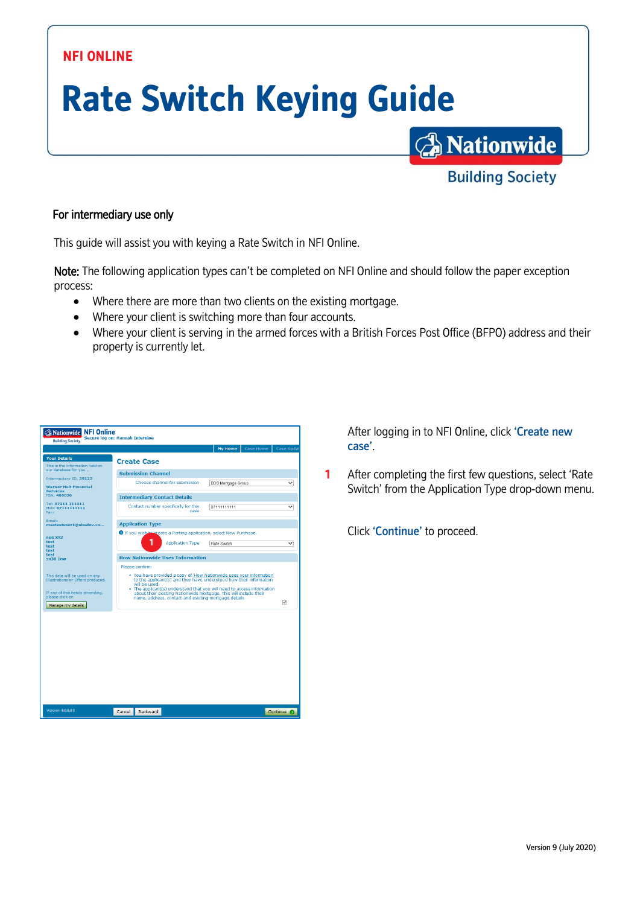## **NFI ONLINE**

## **Rate Switch Keying Guide**

## For intermediary use only

This guide will assist you with keying a Rate Switch in NFI Online.

Note: The following application types can't be completed on NFI Online and should follow the paper exception process:

- Where there are more than two clients on the existing mortgage.
- Where your client is switching more than four accounts.
- Where your client is serving in the armed forces with a British Forces Post Office (BFPO) address and their property is currently let.



After logging in to NFI Online, click 'Create new case'.

**A** Nationwide

**Building Society** 

**1** After completing the first few questions, select 'Rate Switch' from the Application Type drop-down menu.

Click 'Continue' to proceed.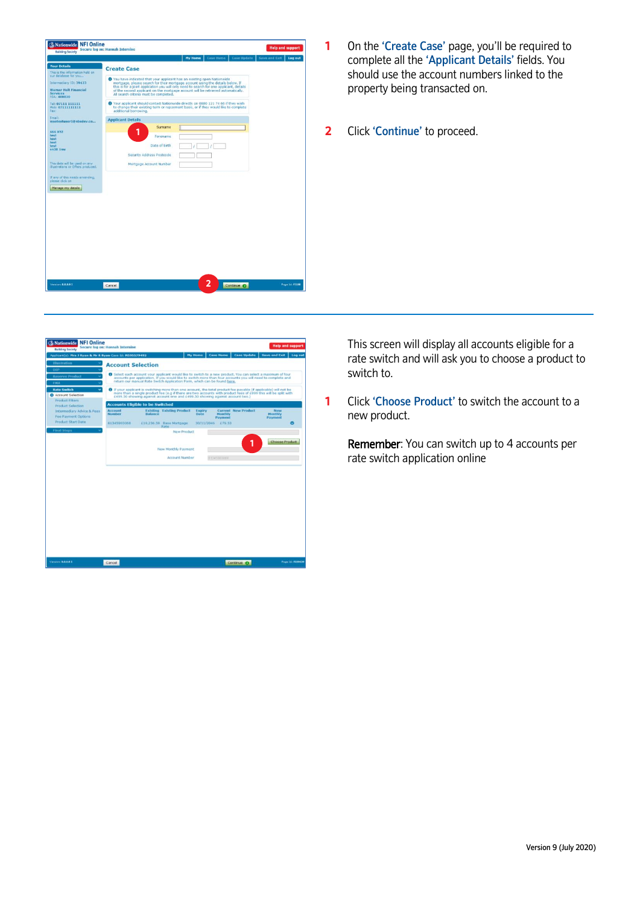

- **1** On the 'Create Case' page, you'll be required to complete all the 'Applicant Details' fields. You should use the account numbers linked to the property being transacted on.
- **2** Click 'Continue' to proceed.



This screen will display all accounts eligible for a rate switch and will ask you to choose a product to switch to.

**1** Click 'Choose Product' to switch the account to a new product.

Remember: You can switch up to 4 accounts per rate switch application online